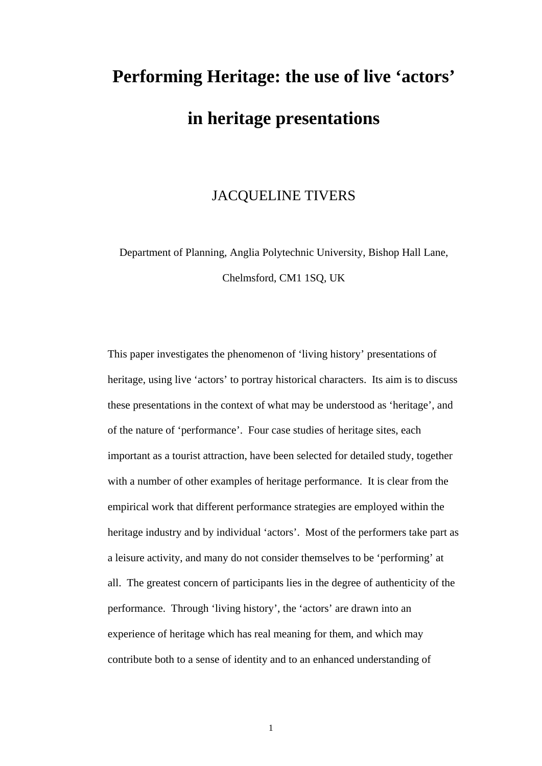# **Performing Heritage: the use of live 'actors' in heritage presentations**

# JACQUELINE TIVERS

Department of Planning, Anglia Polytechnic University, Bishop Hall Lane, Chelmsford, CM1 1SQ, UK

This paper investigates the phenomenon of 'living history' presentations of heritage, using live 'actors' to portray historical characters. Its aim is to discuss these presentations in the context of what may be understood as 'heritage', and of the nature of 'performance'. Four case studies of heritage sites, each important as a tourist attraction, have been selected for detailed study, together with a number of other examples of heritage performance. It is clear from the empirical work that different performance strategies are employed within the heritage industry and by individual 'actors'. Most of the performers take part as a leisure activity, and many do not consider themselves to be 'performing' at all. The greatest concern of participants lies in the degree of authenticity of the performance. Through 'living history', the 'actors' are drawn into an experience of heritage which has real meaning for them, and which may contribute both to a sense of identity and to an enhanced understanding of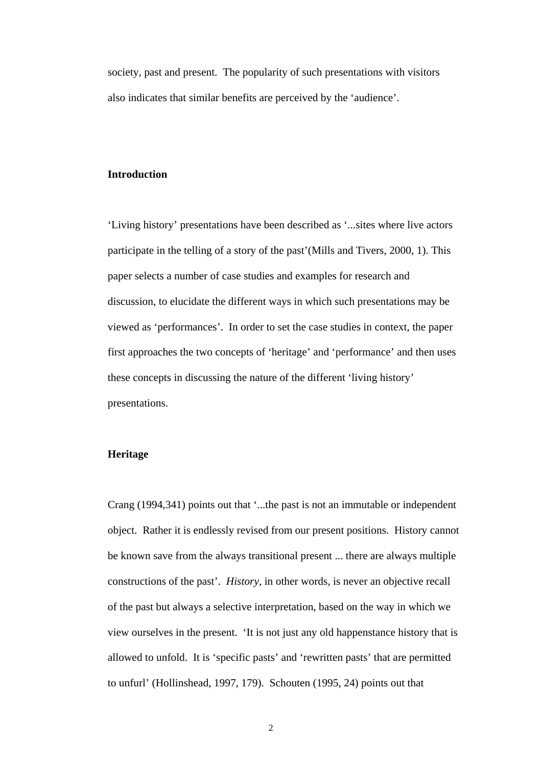society, past and present. The popularity of such presentations with visitors also indicates that similar benefits are perceived by the 'audience'.

## **Introduction**

'Living history' presentations have been described as '...sites where live actors participate in the telling of a story of the past'(Mills and Tivers, 2000, 1). This paper selects a number of case studies and examples for research and discussion, to elucidate the different ways in which such presentations may be viewed as 'performances'. In order to set the case studies in context, the paper first approaches the two concepts of 'heritage' and 'performance' and then uses these concepts in discussing the nature of the different 'living history' presentations.

#### **Heritage**

Crang (1994,341) points out that '...the past is not an immutable or independent object. Rather it is endlessly revised from our present positions. History cannot be known save from the always transitional present ... there are always multiple constructions of the past'. *History*, in other words, is never an objective recall of the past but always a selective interpretation, based on the way in which we view ourselves in the present. 'It is not just any old happenstance history that is allowed to unfold. It is 'specific pasts' and 'rewritten pasts' that are permitted to unfurl' (Hollinshead, 1997, 179). Schouten (1995, 24) points out that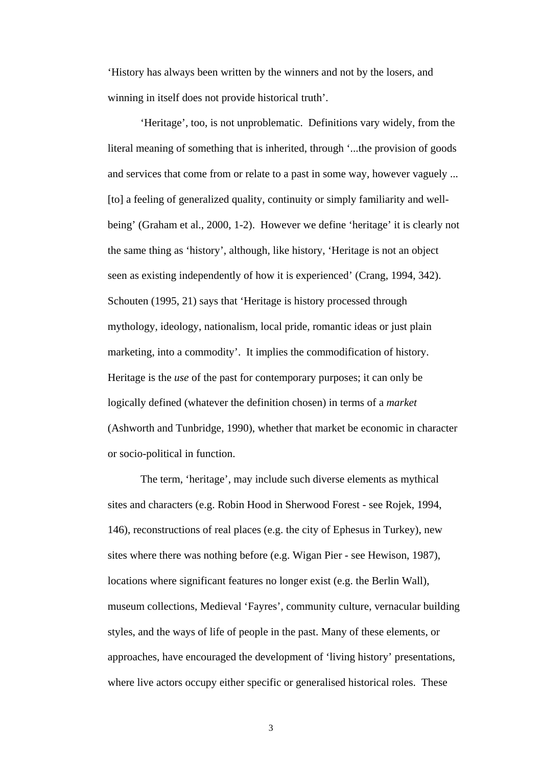'History has always been written by the winners and not by the losers, and winning in itself does not provide historical truth'.

'Heritage', too, is not unproblematic. Definitions vary widely, from the literal meaning of something that is inherited, through '...the provision of goods and services that come from or relate to a past in some way, however vaguely ... [to] a feeling of generalized quality, continuity or simply familiarity and wellbeing' (Graham et al., 2000, 1-2). However we define 'heritage' it is clearly not the same thing as 'history', although, like history, 'Heritage is not an object seen as existing independently of how it is experienced' (Crang, 1994, 342). Schouten (1995, 21) says that 'Heritage is history processed through mythology, ideology, nationalism, local pride, romantic ideas or just plain marketing, into a commodity'. It implies the commodification of history. Heritage is the *use* of the past for contemporary purposes; it can only be logically defined (whatever the definition chosen) in terms of a *market* (Ashworth and Tunbridge, 1990), whether that market be economic in character or socio-political in function.

The term, 'heritage', may include such diverse elements as mythical sites and characters (e.g. Robin Hood in Sherwood Forest - see Rojek, 1994, 146), reconstructions of real places (e.g. the city of Ephesus in Turkey), new sites where there was nothing before (e.g. Wigan Pier - see Hewison, 1987), locations where significant features no longer exist (e.g. the Berlin Wall), museum collections, Medieval 'Fayres', community culture, vernacular building styles, and the ways of life of people in the past. Many of these elements, or approaches, have encouraged the development of 'living history' presentations, where live actors occupy either specific or generalised historical roles. These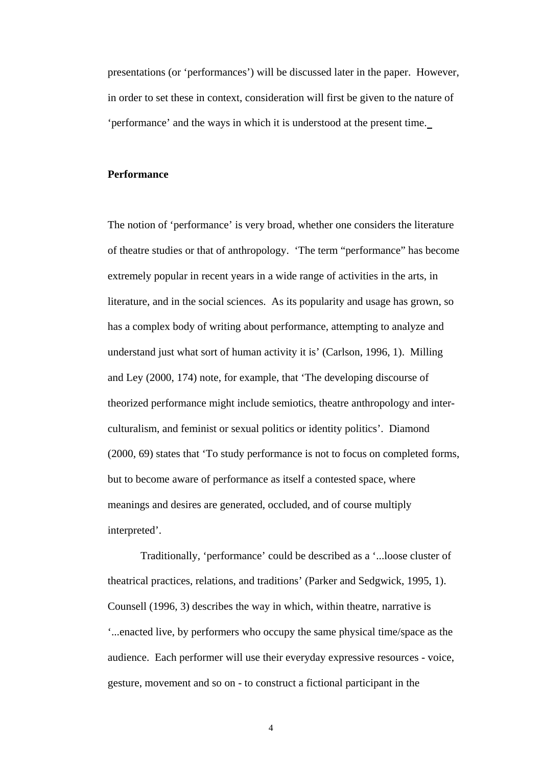presentations (or 'performances') will be discussed later in the paper. However, in order to set these in context, consideration will first be given to the nature of 'performance' and the ways in which it is understood at the present time.

#### **Performance**

The notion of 'performance' is very broad, whether one considers the literature of theatre studies or that of anthropology. 'The term "performance" has become extremely popular in recent years in a wide range of activities in the arts, in literature, and in the social sciences. As its popularity and usage has grown, so has a complex body of writing about performance, attempting to analyze and understand just what sort of human activity it is' (Carlson, 1996, 1). Milling and Ley (2000, 174) note, for example, that 'The developing discourse of theorized performance might include semiotics, theatre anthropology and interculturalism, and feminist or sexual politics or identity politics'. Diamond (2000, 69) states that 'To study performance is not to focus on completed forms, but to become aware of performance as itself a contested space, where meanings and desires are generated, occluded, and of course multiply interpreted'.

Traditionally, 'performance' could be described as a '...loose cluster of theatrical practices, relations, and traditions' (Parker and Sedgwick, 1995, 1). Counsell (1996, 3) describes the way in which, within theatre, narrative is '...enacted live, by performers who occupy the same physical time/space as the audience. Each performer will use their everyday expressive resources - voice, gesture, movement and so on - to construct a fictional participant in the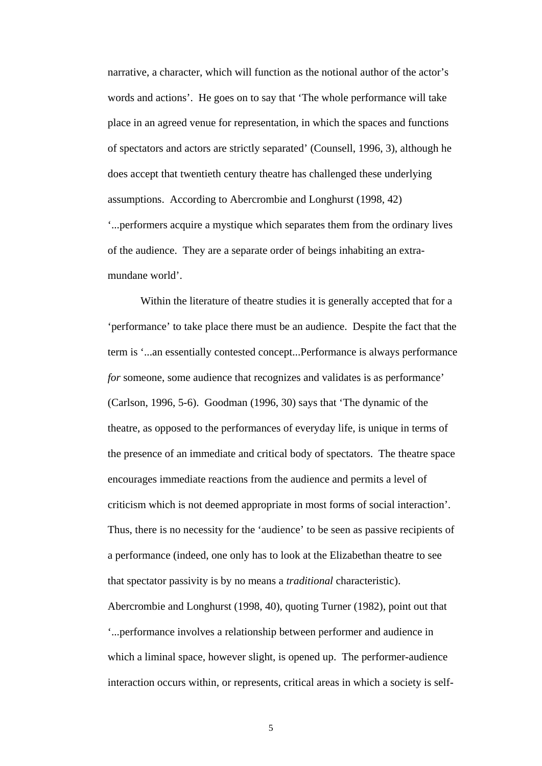narrative, a character, which will function as the notional author of the actor's words and actions'. He goes on to say that 'The whole performance will take place in an agreed venue for representation, in which the spaces and functions of spectators and actors are strictly separated' (Counsell, 1996, 3), although he does accept that twentieth century theatre has challenged these underlying assumptions. According to Abercrombie and Longhurst (1998, 42) '...performers acquire a mystique which separates them from the ordinary lives of the audience. They are a separate order of beings inhabiting an extramundane world'.

Within the literature of theatre studies it is generally accepted that for a 'performance' to take place there must be an audience. Despite the fact that the term is '...an essentially contested concept...Performance is always performance *for* someone, some audience that recognizes and validates is as performance' (Carlson, 1996, 5-6). Goodman (1996, 30) says that 'The dynamic of the theatre, as opposed to the performances of everyday life, is unique in terms of the presence of an immediate and critical body of spectators. The theatre space encourages immediate reactions from the audience and permits a level of criticism which is not deemed appropriate in most forms of social interaction'. Thus, there is no necessity for the 'audience' to be seen as passive recipients of a performance (indeed, one only has to look at the Elizabethan theatre to see that spectator passivity is by no means a *traditional* characteristic). Abercrombie and Longhurst (1998, 40), quoting Turner (1982), point out that '...performance involves a relationship between performer and audience in which a liminal space, however slight, is opened up. The performer-audience interaction occurs within, or represents, critical areas in which a society is self-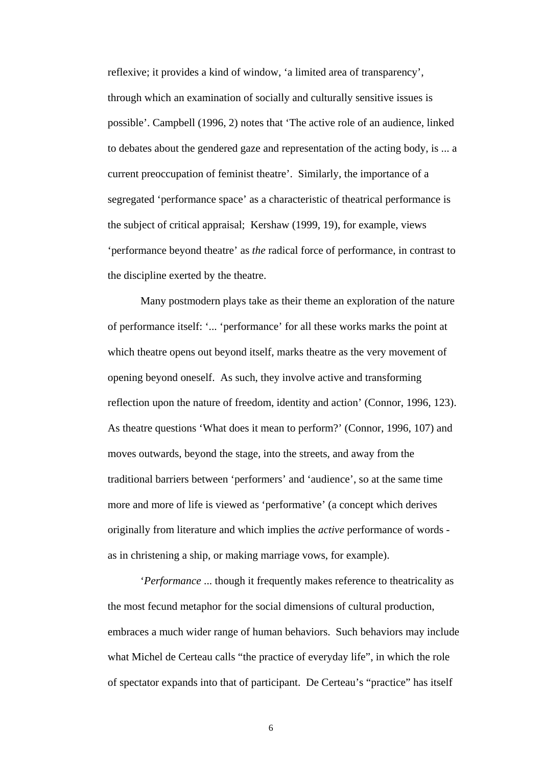reflexive; it provides a kind of window, 'a limited area of transparency', through which an examination of socially and culturally sensitive issues is possible'. Campbell (1996, 2) notes that 'The active role of an audience, linked to debates about the gendered gaze and representation of the acting body, is ... a current preoccupation of feminist theatre'. Similarly, the importance of a segregated 'performance space' as a characteristic of theatrical performance is the subject of critical appraisal; Kershaw (1999, 19), for example, views 'performance beyond theatre' as *the* radical force of performance, in contrast to the discipline exerted by the theatre.

Many postmodern plays take as their theme an exploration of the nature of performance itself: '... 'performance' for all these works marks the point at which theatre opens out beyond itself, marks theatre as the very movement of opening beyond oneself. As such, they involve active and transforming reflection upon the nature of freedom, identity and action' (Connor, 1996, 123). As theatre questions 'What does it mean to perform?' (Connor, 1996, 107) and moves outwards, beyond the stage, into the streets, and away from the traditional barriers between 'performers' and 'audience', so at the same time more and more of life is viewed as 'performative' (a concept which derives originally from literature and which implies the *active* performance of words as in christening a ship, or making marriage vows, for example).

'*Performance* ... though it frequently makes reference to theatricality as the most fecund metaphor for the social dimensions of cultural production, embraces a much wider range of human behaviors. Such behaviors may include what Michel de Certeau calls "the practice of everyday life", in which the role of spectator expands into that of participant. De Certeau's "practice" has itself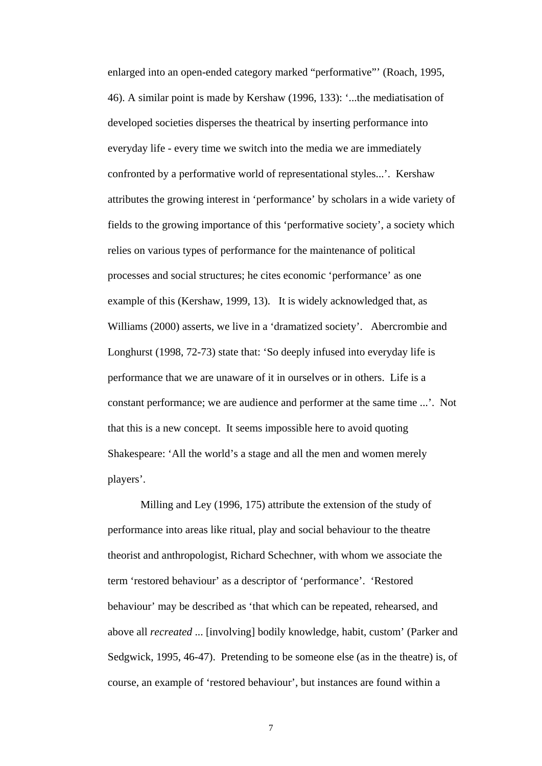enlarged into an open-ended category marked "performative"' (Roach, 1995, 46). A similar point is made by Kershaw (1996, 133): '...the mediatisation of developed societies disperses the theatrical by inserting performance into everyday life - every time we switch into the media we are immediately confronted by a performative world of representational styles...'. Kershaw attributes the growing interest in 'performance' by scholars in a wide variety of fields to the growing importance of this 'performative society', a society which relies on various types of performance for the maintenance of political processes and social structures; he cites economic 'performance' as one example of this (Kershaw, 1999, 13). It is widely acknowledged that, as Williams (2000) asserts, we live in a 'dramatized society'. Abercrombie and Longhurst (1998, 72-73) state that: 'So deeply infused into everyday life is performance that we are unaware of it in ourselves or in others. Life is a constant performance; we are audience and performer at the same time ...'. Not that this is a new concept. It seems impossible here to avoid quoting Shakespeare: 'All the world's a stage and all the men and women merely players'.

Milling and Ley (1996, 175) attribute the extension of the study of performance into areas like ritual, play and social behaviour to the theatre theorist and anthropologist, Richard Schechner, with whom we associate the term 'restored behaviour' as a descriptor of 'performance'. 'Restored behaviour' may be described as 'that which can be repeated, rehearsed, and above all *recreated* ... [involving] bodily knowledge, habit, custom' (Parker and Sedgwick, 1995, 46-47). Pretending to be someone else (as in the theatre) is, of course, an example of 'restored behaviour', but instances are found within a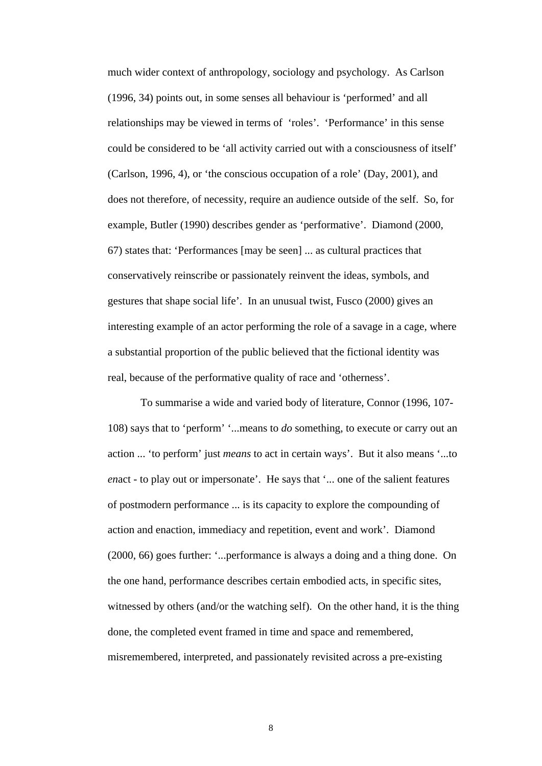much wider context of anthropology, sociology and psychology. As Carlson (1996, 34) points out, in some senses all behaviour is 'performed' and all relationships may be viewed in terms of 'roles'. 'Performance' in this sense could be considered to be 'all activity carried out with a consciousness of itself' (Carlson, 1996, 4), or 'the conscious occupation of a role' (Day, 2001), and does not therefore, of necessity, require an audience outside of the self. So, for example, Butler (1990) describes gender as 'performative'. Diamond (2000, 67) states that: 'Performances [may be seen] ... as cultural practices that conservatively reinscribe or passionately reinvent the ideas, symbols, and gestures that shape social life'. In an unusual twist, Fusco (2000) gives an interesting example of an actor performing the role of a savage in a cage, where a substantial proportion of the public believed that the fictional identity was real, because of the performative quality of race and 'otherness'.

To summarise a wide and varied body of literature, Connor (1996, 107- 108) says that to 'perform' '...means to *do* something, to execute or carry out an action ... 'to perform' just *means* to act in certain ways'. But it also means '...to *en*act - to play out or impersonate'. He says that '... one of the salient features of postmodern performance ... is its capacity to explore the compounding of action and enaction, immediacy and repetition, event and work'. Diamond (2000, 66) goes further: '...performance is always a doing and a thing done. On the one hand, performance describes certain embodied acts, in specific sites, witnessed by others (and/or the watching self). On the other hand, it is the thing done, the completed event framed in time and space and remembered, misremembered, interpreted, and passionately revisited across a pre-existing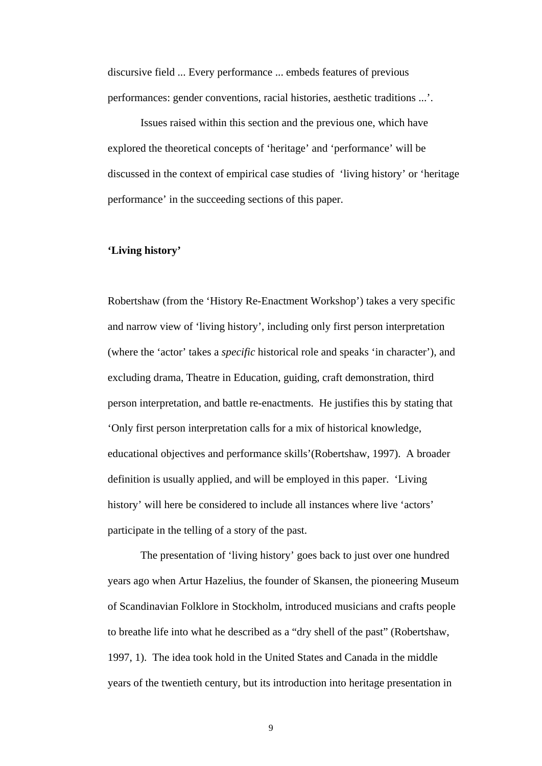discursive field ... Every performance ... embeds features of previous performances: gender conventions, racial histories, aesthetic traditions ...'.

Issues raised within this section and the previous one, which have explored the theoretical concepts of 'heritage' and 'performance' will be discussed in the context of empirical case studies of 'living history' or 'heritage performance' in the succeeding sections of this paper.

#### **'Living history'**

Robertshaw (from the 'History Re-Enactment Workshop') takes a very specific and narrow view of 'living history', including only first person interpretation (where the 'actor' takes a *specific* historical role and speaks 'in character'), and excluding drama, Theatre in Education, guiding, craft demonstration, third person interpretation, and battle re-enactments. He justifies this by stating that 'Only first person interpretation calls for a mix of historical knowledge, educational objectives and performance skills'(Robertshaw, 1997). A broader definition is usually applied, and will be employed in this paper. 'Living history' will here be considered to include all instances where live 'actors' participate in the telling of a story of the past.

The presentation of 'living history' goes back to just over one hundred years ago when Artur Hazelius, the founder of Skansen, the pioneering Museum of Scandinavian Folklore in Stockholm, introduced musicians and crafts people to breathe life into what he described as a "dry shell of the past" (Robertshaw, 1997, 1). The idea took hold in the United States and Canada in the middle years of the twentieth century, but its introduction into heritage presentation in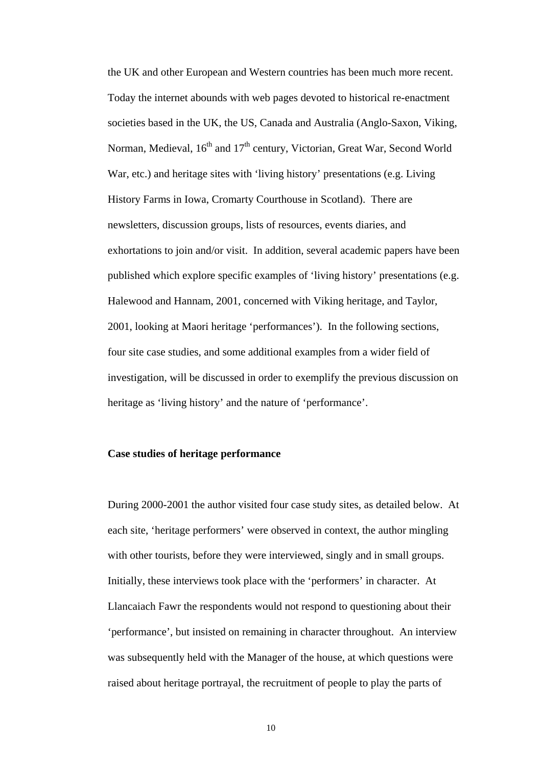the UK and other European and Western countries has been much more recent. Today the internet abounds with web pages devoted to historical re-enactment societies based in the UK, the US, Canada and Australia (Anglo-Saxon, Viking, Norman, Medieval,  $16<sup>th</sup>$  and  $17<sup>th</sup>$  century, Victorian, Great War, Second World War, etc.) and heritage sites with 'living history' presentations (e.g. Living History Farms in Iowa, Cromarty Courthouse in Scotland). There are newsletters, discussion groups, lists of resources, events diaries, and exhortations to join and/or visit. In addition, several academic papers have been published which explore specific examples of 'living history' presentations (e.g. Halewood and Hannam, 2001, concerned with Viking heritage, and Taylor, 2001, looking at Maori heritage 'performances'). In the following sections, four site case studies, and some additional examples from a wider field of investigation, will be discussed in order to exemplify the previous discussion on heritage as 'living history' and the nature of 'performance'.

#### **Case studies of heritage performance**

During 2000-2001 the author visited four case study sites, as detailed below. At each site, 'heritage performers' were observed in context, the author mingling with other tourists, before they were interviewed, singly and in small groups. Initially, these interviews took place with the 'performers' in character. At Llancaiach Fawr the respondents would not respond to questioning about their 'performance', but insisted on remaining in character throughout. An interview was subsequently held with the Manager of the house, at which questions were raised about heritage portrayal, the recruitment of people to play the parts of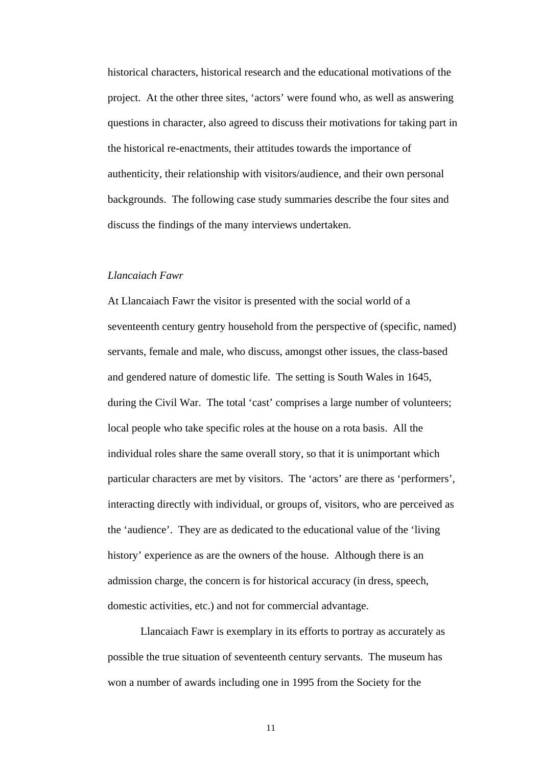historical characters, historical research and the educational motivations of the project. At the other three sites, 'actors' were found who, as well as answering questions in character, also agreed to discuss their motivations for taking part in the historical re-enactments, their attitudes towards the importance of authenticity, their relationship with visitors/audience, and their own personal backgrounds. The following case study summaries describe the four sites and discuss the findings of the many interviews undertaken.

#### *Llancaiach Fawr*

At Llancaiach Fawr the visitor is presented with the social world of a seventeenth century gentry household from the perspective of (specific, named) servants, female and male, who discuss, amongst other issues, the class-based and gendered nature of domestic life. The setting is South Wales in 1645, during the Civil War. The total 'cast' comprises a large number of volunteers; local people who take specific roles at the house on a rota basis. All the individual roles share the same overall story, so that it is unimportant which particular characters are met by visitors. The 'actors' are there as 'performers', interacting directly with individual, or groups of, visitors, who are perceived as the 'audience'. They are as dedicated to the educational value of the 'living history' experience as are the owners of the house. Although there is an admission charge, the concern is for historical accuracy (in dress, speech, domestic activities, etc.) and not for commercial advantage.

Llancaiach Fawr is exemplary in its efforts to portray as accurately as possible the true situation of seventeenth century servants. The museum has won a number of awards including one in 1995 from the Society for the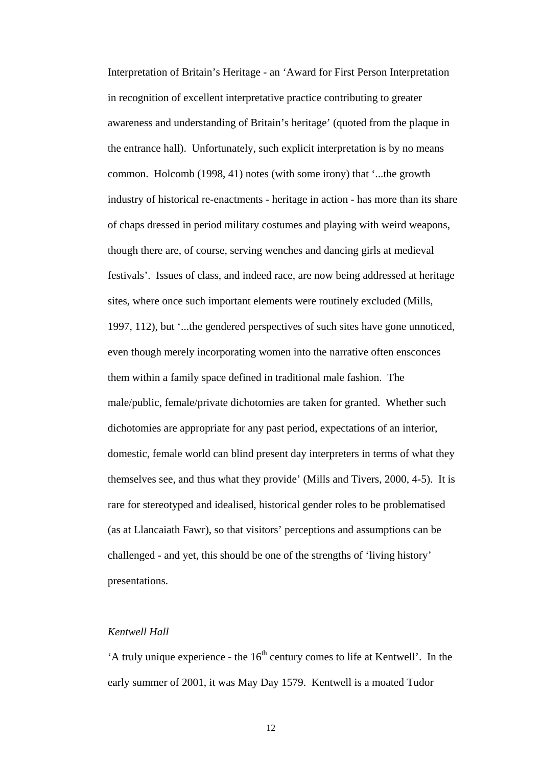Interpretation of Britain's Heritage - an 'Award for First Person Interpretation in recognition of excellent interpretative practice contributing to greater awareness and understanding of Britain's heritage' (quoted from the plaque in the entrance hall). Unfortunately, such explicit interpretation is by no means common. Holcomb (1998, 41) notes (with some irony) that '...the growth industry of historical re-enactments - heritage in action - has more than its share of chaps dressed in period military costumes and playing with weird weapons, though there are, of course, serving wenches and dancing girls at medieval festivals'. Issues of class, and indeed race, are now being addressed at heritage sites, where once such important elements were routinely excluded (Mills, 1997, 112), but '...the gendered perspectives of such sites have gone unnoticed, even though merely incorporating women into the narrative often ensconces them within a family space defined in traditional male fashion. The male/public, female/private dichotomies are taken for granted. Whether such dichotomies are appropriate for any past period, expectations of an interior, domestic, female world can blind present day interpreters in terms of what they themselves see, and thus what they provide' (Mills and Tivers, 2000, 4-5). It is rare for stereotyped and idealised, historical gender roles to be problematised (as at Llancaiath Fawr), so that visitors' perceptions and assumptions can be challenged - and yet, this should be one of the strengths of 'living history' presentations.

## *Kentwell Hall*

'A truly unique experience - the  $16<sup>th</sup>$  century comes to life at Kentwell'. In the early summer of 2001, it was May Day 1579. Kentwell is a moated Tudor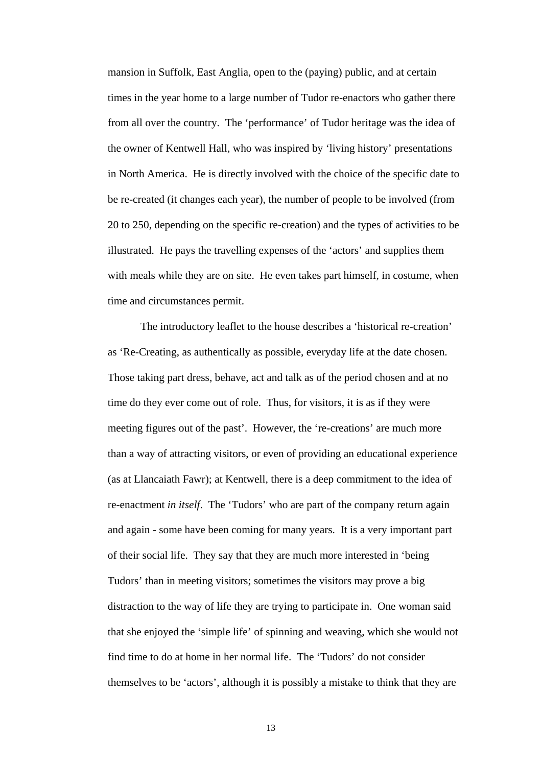mansion in Suffolk, East Anglia, open to the (paying) public, and at certain times in the year home to a large number of Tudor re-enactors who gather there from all over the country. The 'performance' of Tudor heritage was the idea of the owner of Kentwell Hall, who was inspired by 'living history' presentations in North America. He is directly involved with the choice of the specific date to be re-created (it changes each year), the number of people to be involved (from 20 to 250, depending on the specific re-creation) and the types of activities to be illustrated. He pays the travelling expenses of the 'actors' and supplies them with meals while they are on site. He even takes part himself, in costume, when time and circumstances permit.

The introductory leaflet to the house describes a 'historical re-creation' as 'Re-Creating, as authentically as possible, everyday life at the date chosen. Those taking part dress, behave, act and talk as of the period chosen and at no time do they ever come out of role. Thus, for visitors, it is as if they were meeting figures out of the past'. However, the 're-creations' are much more than a way of attracting visitors, or even of providing an educational experience (as at Llancaiath Fawr); at Kentwell, there is a deep commitment to the idea of re-enactment *in itself*. The 'Tudors' who are part of the company return again and again - some have been coming for many years. It is a very important part of their social life. They say that they are much more interested in 'being Tudors' than in meeting visitors; sometimes the visitors may prove a big distraction to the way of life they are trying to participate in. One woman said that she enjoyed the 'simple life' of spinning and weaving, which she would not find time to do at home in her normal life. The 'Tudors' do not consider themselves to be 'actors', although it is possibly a mistake to think that they are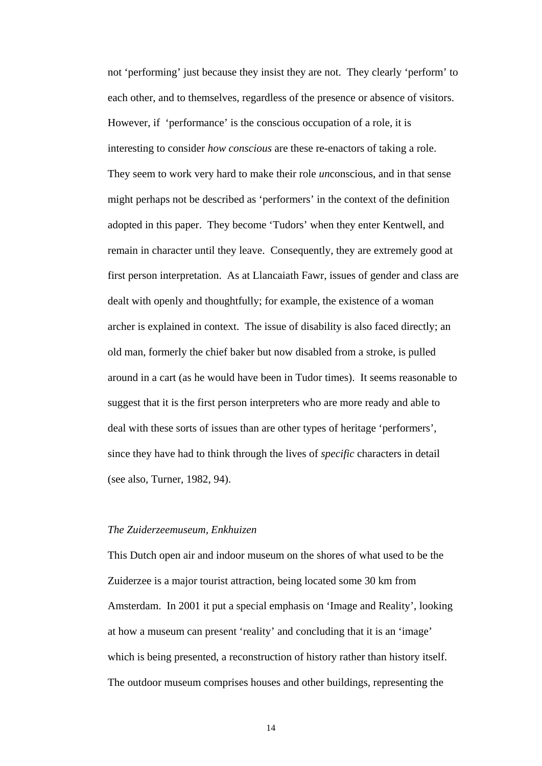not 'performing' just because they insist they are not. They clearly 'perform' to each other, and to themselves, regardless of the presence or absence of visitors. However, if 'performance' is the conscious occupation of a role, it is interesting to consider *how conscious* are these re-enactors of taking a role. They seem to work very hard to make their role *un*conscious, and in that sense might perhaps not be described as 'performers' in the context of the definition adopted in this paper. They become 'Tudors' when they enter Kentwell, and remain in character until they leave. Consequently, they are extremely good at first person interpretation. As at Llancaiath Fawr, issues of gender and class are dealt with openly and thoughtfully; for example, the existence of a woman archer is explained in context. The issue of disability is also faced directly; an old man, formerly the chief baker but now disabled from a stroke, is pulled around in a cart (as he would have been in Tudor times). It seems reasonable to suggest that it is the first person interpreters who are more ready and able to deal with these sorts of issues than are other types of heritage 'performers', since they have had to think through the lives of *specific* characters in detail (see also, Turner, 1982, 94).

#### *The Zuiderzeemuseum, Enkhuizen*

This Dutch open air and indoor museum on the shores of what used to be the Zuiderzee is a major tourist attraction, being located some 30 km from Amsterdam. In 2001 it put a special emphasis on 'Image and Reality', looking at how a museum can present 'reality' and concluding that it is an 'image' which is being presented, a reconstruction of history rather than history itself. The outdoor museum comprises houses and other buildings, representing the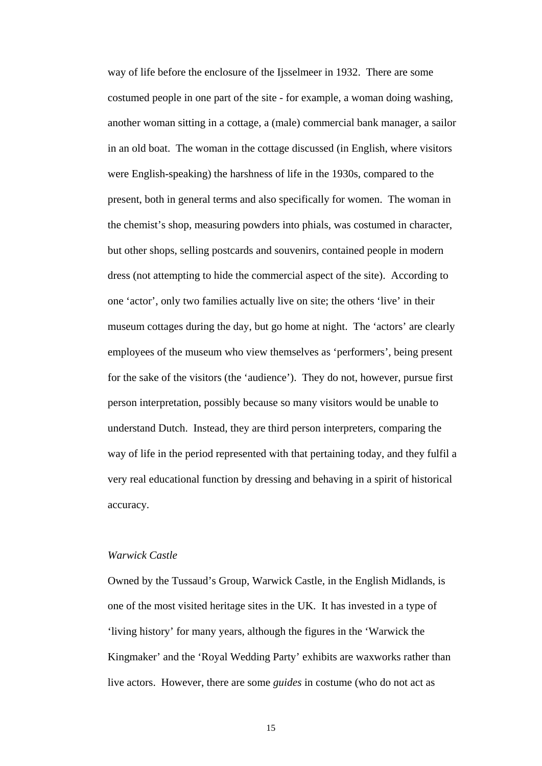way of life before the enclosure of the Ijsselmeer in 1932. There are some costumed people in one part of the site - for example, a woman doing washing, another woman sitting in a cottage, a (male) commercial bank manager, a sailor in an old boat. The woman in the cottage discussed (in English, where visitors were English-speaking) the harshness of life in the 1930s, compared to the present, both in general terms and also specifically for women. The woman in the chemist's shop, measuring powders into phials, was costumed in character, but other shops, selling postcards and souvenirs, contained people in modern dress (not attempting to hide the commercial aspect of the site). According to one 'actor', only two families actually live on site; the others 'live' in their museum cottages during the day, but go home at night. The 'actors' are clearly employees of the museum who view themselves as 'performers', being present for the sake of the visitors (the 'audience'). They do not, however, pursue first person interpretation, possibly because so many visitors would be unable to understand Dutch. Instead, they are third person interpreters, comparing the way of life in the period represented with that pertaining today, and they fulfil a very real educational function by dressing and behaving in a spirit of historical accuracy.

# *Warwick Castle*

Owned by the Tussaud's Group, Warwick Castle, in the English Midlands, is one of the most visited heritage sites in the UK. It has invested in a type of 'living history' for many years, although the figures in the 'Warwick the Kingmaker' and the 'Royal Wedding Party' exhibits are waxworks rather than live actors. However, there are some *guides* in costume (who do not act as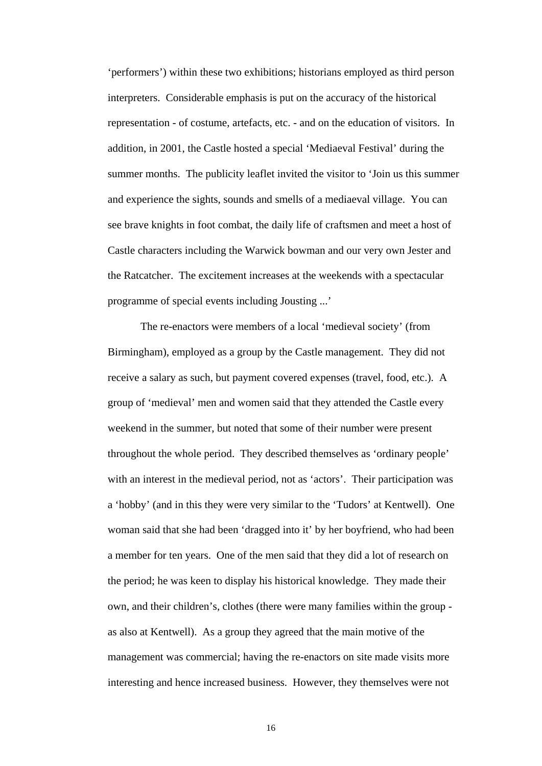'performers') within these two exhibitions; historians employed as third person interpreters. Considerable emphasis is put on the accuracy of the historical representation - of costume, artefacts, etc. - and on the education of visitors. In addition, in 2001, the Castle hosted a special 'Mediaeval Festival' during the summer months. The publicity leaflet invited the visitor to 'Join us this summer and experience the sights, sounds and smells of a mediaeval village. You can see brave knights in foot combat, the daily life of craftsmen and meet a host of Castle characters including the Warwick bowman and our very own Jester and the Ratcatcher. The excitement increases at the weekends with a spectacular programme of special events including Jousting ...'

The re-enactors were members of a local 'medieval society' (from Birmingham), employed as a group by the Castle management. They did not receive a salary as such, but payment covered expenses (travel, food, etc.). A group of 'medieval' men and women said that they attended the Castle every weekend in the summer, but noted that some of their number were present throughout the whole period. They described themselves as 'ordinary people' with an interest in the medieval period, not as 'actors'. Their participation was a 'hobby' (and in this they were very similar to the 'Tudors' at Kentwell). One woman said that she had been 'dragged into it' by her boyfriend, who had been a member for ten years. One of the men said that they did a lot of research on the period; he was keen to display his historical knowledge. They made their own, and their children's, clothes (there were many families within the group as also at Kentwell). As a group they agreed that the main motive of the management was commercial; having the re-enactors on site made visits more interesting and hence increased business. However, they themselves were not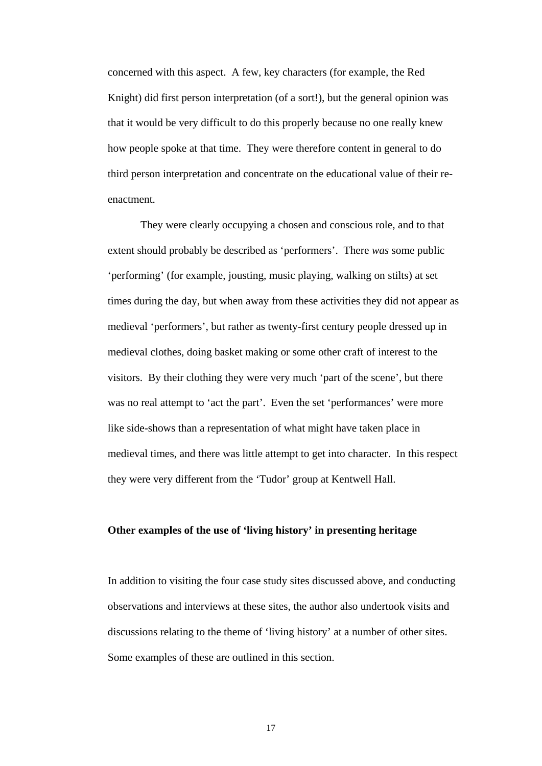concerned with this aspect. A few, key characters (for example, the Red Knight) did first person interpretation (of a sort!), but the general opinion was that it would be very difficult to do this properly because no one really knew how people spoke at that time. They were therefore content in general to do third person interpretation and concentrate on the educational value of their reenactment.

They were clearly occupying a chosen and conscious role, and to that extent should probably be described as 'performers'. There *was* some public 'performing' (for example, jousting, music playing, walking on stilts) at set times during the day, but when away from these activities they did not appear as medieval 'performers', but rather as twenty-first century people dressed up in medieval clothes, doing basket making or some other craft of interest to the visitors. By their clothing they were very much 'part of the scene', but there was no real attempt to 'act the part'. Even the set 'performances' were more like side-shows than a representation of what might have taken place in medieval times, and there was little attempt to get into character. In this respect they were very different from the 'Tudor' group at Kentwell Hall.

#### **Other examples of the use of 'living history' in presenting heritage**

In addition to visiting the four case study sites discussed above, and conducting observations and interviews at these sites, the author also undertook visits and discussions relating to the theme of 'living history' at a number of other sites. Some examples of these are outlined in this section.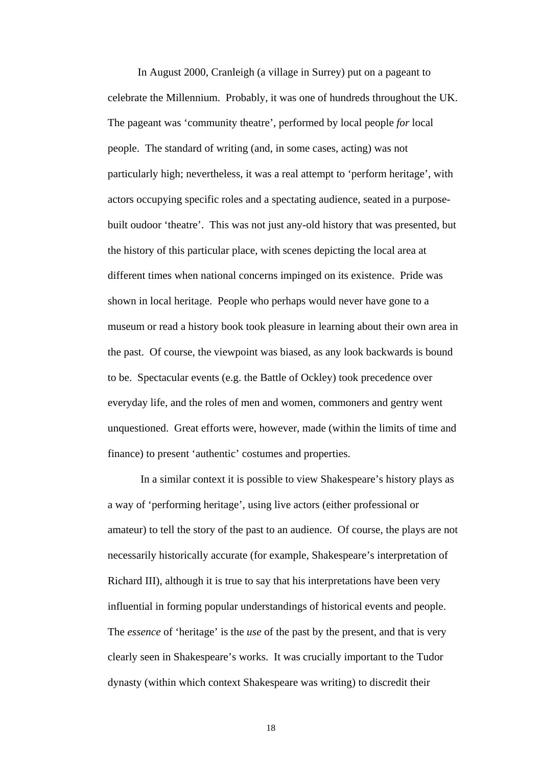In August 2000, Cranleigh (a village in Surrey) put on a pageant to celebrate the Millennium. Probably, it was one of hundreds throughout the UK. The pageant was 'community theatre', performed by local people *for* local people. The standard of writing (and, in some cases, acting) was not particularly high; nevertheless, it was a real attempt to 'perform heritage', with actors occupying specific roles and a spectating audience, seated in a purposebuilt oudoor 'theatre'. This was not just any-old history that was presented, but the history of this particular place, with scenes depicting the local area at different times when national concerns impinged on its existence. Pride was shown in local heritage. People who perhaps would never have gone to a museum or read a history book took pleasure in learning about their own area in the past. Of course, the viewpoint was biased, as any look backwards is bound to be. Spectacular events (e.g. the Battle of Ockley) took precedence over everyday life, and the roles of men and women, commoners and gentry went unquestioned. Great efforts were, however, made (within the limits of time and finance) to present 'authentic' costumes and properties.

In a similar context it is possible to view Shakespeare's history plays as a way of 'performing heritage', using live actors (either professional or amateur) to tell the story of the past to an audience. Of course, the plays are not necessarily historically accurate (for example, Shakespeare's interpretation of Richard III), although it is true to say that his interpretations have been very influential in forming popular understandings of historical events and people. The *essence* of 'heritage' is the *use* of the past by the present, and that is very clearly seen in Shakespeare's works. It was crucially important to the Tudor dynasty (within which context Shakespeare was writing) to discredit their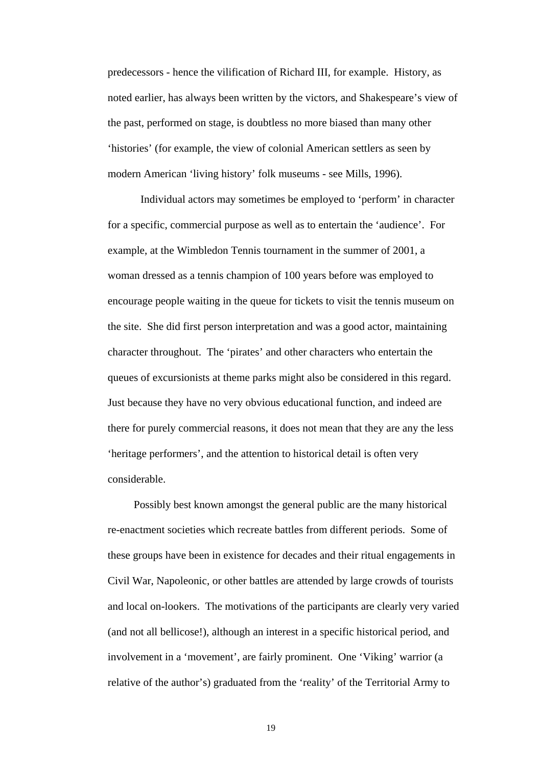predecessors - hence the vilification of Richard III, for example. History, as noted earlier, has always been written by the victors, and Shakespeare's view of the past, performed on stage, is doubtless no more biased than many other 'histories' (for example, the view of colonial American settlers as seen by modern American 'living history' folk museums - see Mills, 1996).

Individual actors may sometimes be employed to 'perform' in character for a specific, commercial purpose as well as to entertain the 'audience'. For example, at the Wimbledon Tennis tournament in the summer of 2001, a woman dressed as a tennis champion of 100 years before was employed to encourage people waiting in the queue for tickets to visit the tennis museum on the site. She did first person interpretation and was a good actor, maintaining character throughout. The 'pirates' and other characters who entertain the queues of excursionists at theme parks might also be considered in this regard. Just because they have no very obvious educational function, and indeed are there for purely commercial reasons, it does not mean that they are any the less 'heritage performers', and the attention to historical detail is often very considerable.

 Possibly best known amongst the general public are the many historical re-enactment societies which recreate battles from different periods. Some of these groups have been in existence for decades and their ritual engagements in Civil War, Napoleonic, or other battles are attended by large crowds of tourists and local on-lookers. The motivations of the participants are clearly very varied (and not all bellicose!), although an interest in a specific historical period, and involvement in a 'movement', are fairly prominent. One 'Viking' warrior (a relative of the author's) graduated from the 'reality' of the Territorial Army to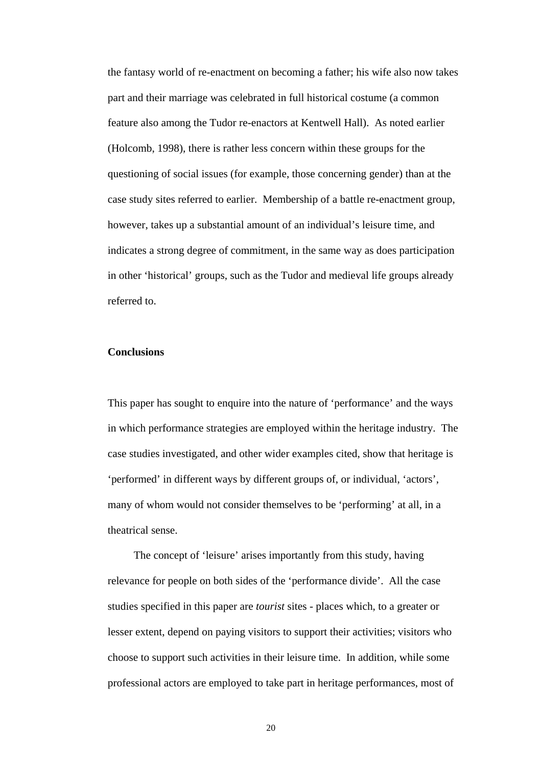the fantasy world of re-enactment on becoming a father; his wife also now takes part and their marriage was celebrated in full historical costume (a common feature also among the Tudor re-enactors at Kentwell Hall). As noted earlier (Holcomb, 1998), there is rather less concern within these groups for the questioning of social issues (for example, those concerning gender) than at the case study sites referred to earlier. Membership of a battle re-enactment group, however, takes up a substantial amount of an individual's leisure time, and indicates a strong degree of commitment, in the same way as does participation in other 'historical' groups, such as the Tudor and medieval life groups already referred to.

#### **Conclusions**

This paper has sought to enquire into the nature of 'performance' and the ways in which performance strategies are employed within the heritage industry. The case studies investigated, and other wider examples cited, show that heritage is 'performed' in different ways by different groups of, or individual, 'actors', many of whom would not consider themselves to be 'performing' at all, in a theatrical sense.

 The concept of 'leisure' arises importantly from this study, having relevance for people on both sides of the 'performance divide'. All the case studies specified in this paper are *tourist* sites - places which, to a greater or lesser extent, depend on paying visitors to support their activities; visitors who choose to support such activities in their leisure time. In addition, while some professional actors are employed to take part in heritage performances, most of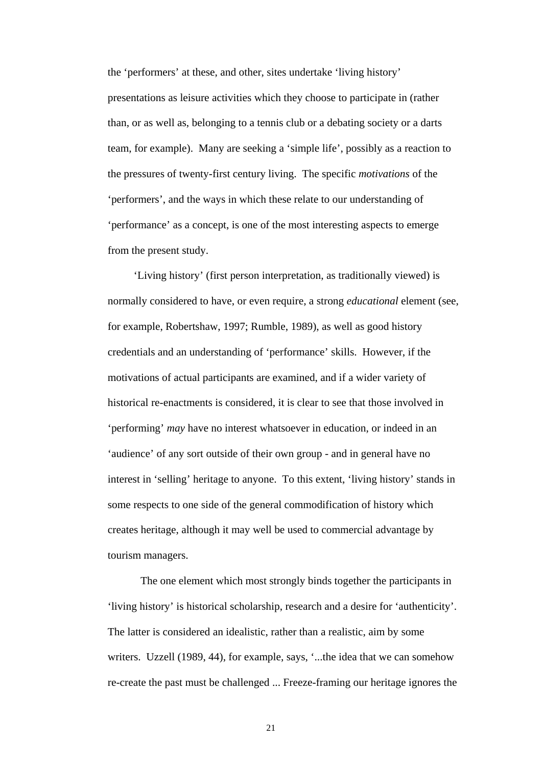the 'performers' at these, and other, sites undertake 'living history' presentations as leisure activities which they choose to participate in (rather than, or as well as, belonging to a tennis club or a debating society or a darts team, for example). Many are seeking a 'simple life', possibly as a reaction to the pressures of twenty-first century living. The specific *motivations* of the 'performers', and the ways in which these relate to our understanding of 'performance' as a concept, is one of the most interesting aspects to emerge from the present study.

 'Living history' (first person interpretation, as traditionally viewed) is normally considered to have, or even require, a strong *educational* element (see, for example, Robertshaw, 1997; Rumble, 1989), as well as good history credentials and an understanding of 'performance' skills. However, if the motivations of actual participants are examined, and if a wider variety of historical re-enactments is considered, it is clear to see that those involved in 'performing' *may* have no interest whatsoever in education, or indeed in an 'audience' of any sort outside of their own group - and in general have no interest in 'selling' heritage to anyone. To this extent, 'living history' stands in some respects to one side of the general commodification of history which creates heritage, although it may well be used to commercial advantage by tourism managers.

The one element which most strongly binds together the participants in 'living history' is historical scholarship, research and a desire for 'authenticity'. The latter is considered an idealistic, rather than a realistic, aim by some writers. Uzzell (1989, 44), for example, says, '...the idea that we can somehow re-create the past must be challenged ... Freeze-framing our heritage ignores the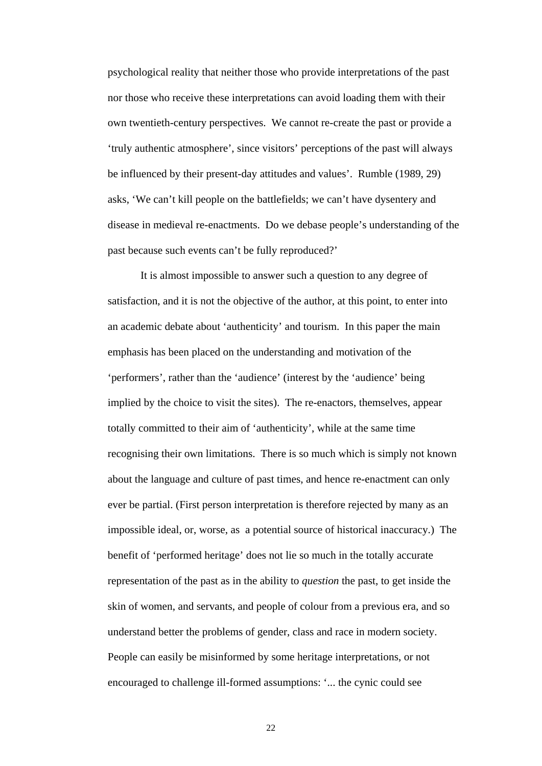psychological reality that neither those who provide interpretations of the past nor those who receive these interpretations can avoid loading them with their own twentieth-century perspectives. We cannot re-create the past or provide a 'truly authentic atmosphere', since visitors' perceptions of the past will always be influenced by their present-day attitudes and values'. Rumble (1989, 29) asks, 'We can't kill people on the battlefields; we can't have dysentery and disease in medieval re-enactments. Do we debase people's understanding of the past because such events can't be fully reproduced?'

It is almost impossible to answer such a question to any degree of satisfaction, and it is not the objective of the author, at this point, to enter into an academic debate about 'authenticity' and tourism. In this paper the main emphasis has been placed on the understanding and motivation of the 'performers', rather than the 'audience' (interest by the 'audience' being implied by the choice to visit the sites). The re-enactors, themselves, appear totally committed to their aim of 'authenticity', while at the same time recognising their own limitations. There is so much which is simply not known about the language and culture of past times, and hence re-enactment can only ever be partial. (First person interpretation is therefore rejected by many as an impossible ideal, or, worse, as a potential source of historical inaccuracy.) The benefit of 'performed heritage' does not lie so much in the totally accurate representation of the past as in the ability to *question* the past, to get inside the skin of women, and servants, and people of colour from a previous era, and so understand better the problems of gender, class and race in modern society. People can easily be misinformed by some heritage interpretations, or not encouraged to challenge ill-formed assumptions: '... the cynic could see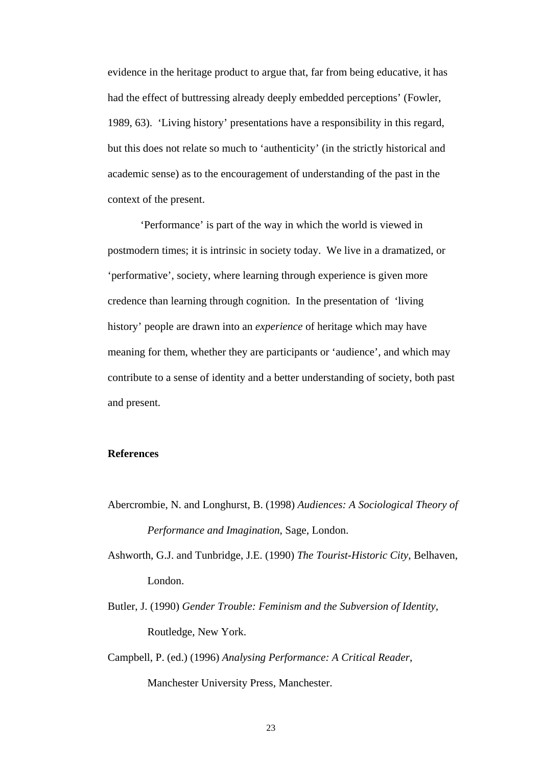evidence in the heritage product to argue that, far from being educative, it has had the effect of buttressing already deeply embedded perceptions' (Fowler, 1989, 63). 'Living history' presentations have a responsibility in this regard, but this does not relate so much to 'authenticity' (in the strictly historical and academic sense) as to the encouragement of understanding of the past in the context of the present.

'Performance' is part of the way in which the world is viewed in postmodern times; it is intrinsic in society today. We live in a dramatized, or 'performative', society, where learning through experience is given more credence than learning through cognition. In the presentation of 'living history' people are drawn into an *experience* of heritage which may have meaning for them, whether they are participants or 'audience', and which may contribute to a sense of identity and a better understanding of society, both past and present.

# **References**

- Abercrombie, N. and Longhurst, B. (1998) *Audiences: A Sociological Theory of Performance and Imagination*, Sage, London.
- Ashworth, G.J. and Tunbridge, J.E. (1990) *The Tourist-Historic City*, Belhaven, London.
- Butler, J. (1990) *Gender Trouble: Feminism and the Subversion of Identity,* Routledge, New York.
- Campbell, P. (ed.) (1996) *Analysing Performance: A Critical Reader*, Manchester University Press, Manchester.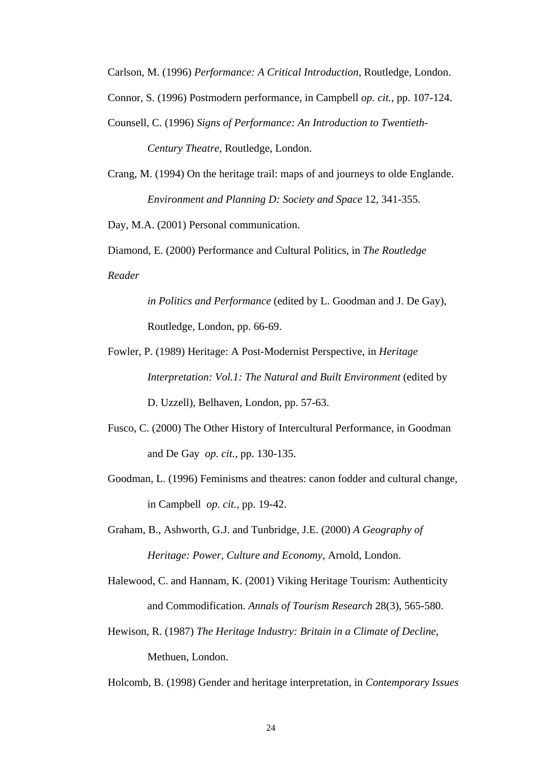Carlson, M. (1996) *Performance: A Critical Introduction*, Routledge, London.

Connor, S. (1996) Postmodern performance, in Campbell *op. cit.*, pp. 107-124.

Counsell, C. (1996) *Signs of Performance: An Introduction to Twentieth-*

*Century Theatre*, Routledge, London.

Crang, M. (1994) On the heritage trail: maps of and journeys to olde Englande. *Environment and Planning D: Society and Space* 12, 341-355.

Day, M.A. (2001) Personal communication.

Diamond, E. (2000) Performance and Cultural Politics, in *The Routledge Reader* 

> *in Politics and Performance* (edited by L. Goodman and J. De Gay), Routledge, London, pp. 66-69.

- Fowler, P. (1989) Heritage: A Post-Modernist Perspective, in *Heritage Interpretation: Vol.1: The Natural and Built Environment* (edited by D. Uzzell), Belhaven, London, pp. 57-63.
- Fusco, C. (2000) The Other History of Intercultural Performance, in Goodman and De Gay *op. cit.,* pp. 130-135.
- Goodman, L. (1996) Feminisms and theatres: canon fodder and cultural change, in Campbell *op. cit.*, pp. 19-42.

Graham, B., Ashworth, G.J. and Tunbridge, J.E. (2000) *A Geography of Heritage: Power, Culture and Economy*, Arnold, London.

- Halewood, C. and Hannam, K. (2001) Viking Heritage Tourism: Authenticity and Commodification. *Annals of Tourism Research* 28(3), 565-580.
- Hewison, R. (1987) *The Heritage Industry: Britain in a Climate of Decline*, Methuen, London.

Holcomb, B. (1998) Gender and heritage interpretation, in *Contemporary Issues*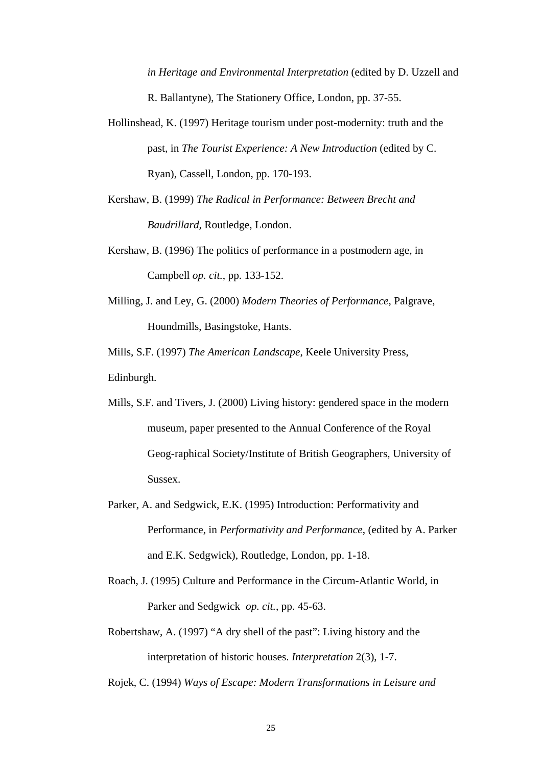*in Heritage and Environmental Interpretation* (edited by D. Uzzell and R. Ballantyne), The Stationery Office, London, pp. 37-55.

- Hollinshead, K. (1997) Heritage tourism under post-modernity: truth and the past, in *The Tourist Experience: A New Introduction* (edited by C. Ryan), Cassell, London, pp. 170-193.
- Kershaw, B. (1999) *The Radical in Performance: Between Brecht and Baudrillard,* Routledge, London.
- Kershaw, B. (1996) The politics of performance in a postmodern age, in Campbell *op. cit.*, pp. 133-152.
- Milling, J. and Ley, G. (2000) *Modern Theories of Performance*, Palgrave, Houndmills, Basingstoke, Hants.

Mills, S.F. (1997) *The American Landscape*, Keele University Press,

Edinburgh.

- Mills, S.F. and Tivers, J. (2000) Living history: gendered space in the modern museum, paper presented to the Annual Conference of the Royal Geog-raphical Society/Institute of British Geographers, University of Sussex.
- Parker, A. and Sedgwick, E.K. (1995) Introduction: Performativity and Performance, in *Performativity and Performance*, (edited by A. Parker and E.K. Sedgwick), Routledge, London, pp. 1-18.
- Roach, J. (1995) Culture and Performance in the Circum-Atlantic World, in Parker and Sedgwick *op. cit.*, pp. 45-63.
- Robertshaw, A. (1997) "A dry shell of the past": Living history and the interpretation of historic houses. *Interpretation* 2(3), 1-7.

Rojek, C. (1994) *Ways of Escape: Modern Transformations in Leisure and*